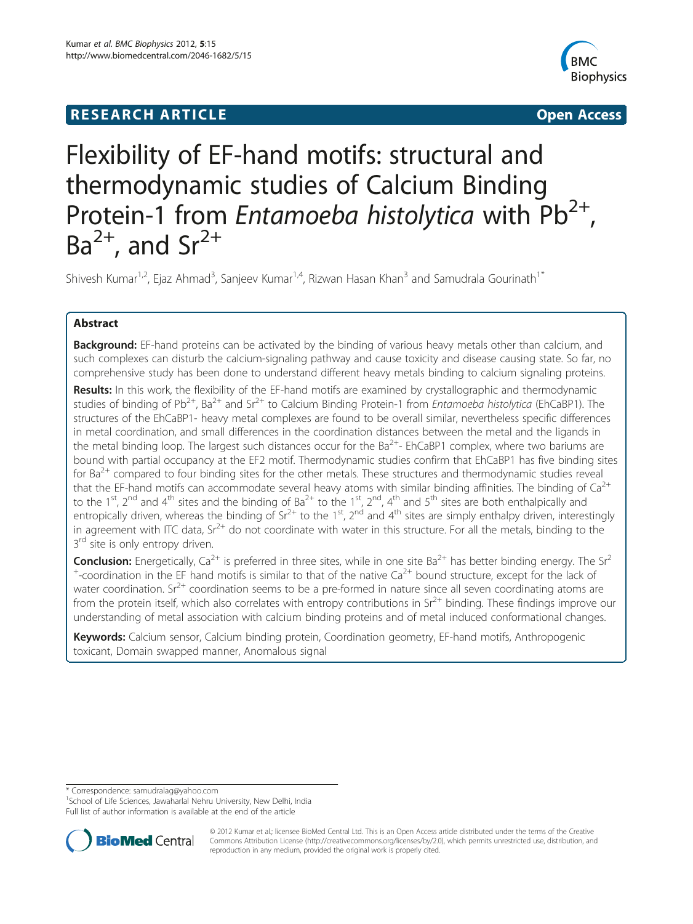## **RESEARCH ARTICLE Example 2014 The SEAR CH ACCESS**



# Flexibility of EF-hand motifs: structural and thermodynamic studies of Calcium Binding Protein-1 from Entamoeba histolytica with  $Pb^{2+}$ , ,  $Ba^{2+}$ , and  $Sr^{2+}$

Shivesh Kumar<sup>1,2</sup>, Ejaz Ahmad<sup>3</sup>, Sanjeev Kumar<sup>1,4</sup>, Rizwan Hasan Khan<sup>3</sup> and Samudrala Gourinath<sup>1\*</sup>

## Abstract

**Background:** EF-hand proteins can be activated by the binding of various heavy metals other than calcium, and such complexes can disturb the calcium-signaling pathway and cause toxicity and disease causing state. So far, no comprehensive study has been done to understand different heavy metals binding to calcium signaling proteins.

Results: In this work, the flexibility of the EF-hand motifs are examined by crystallographic and thermodynamic studies of binding of Pb<sup>2+</sup>, Ba<sup>2+</sup> and Sr<sup>2+</sup> to Calcium Binding Protein-1 from Entamoeba histolytica (EhCaBP1). The structures of the EhCaBP1- heavy metal complexes are found to be overall similar, nevertheless specific differences in metal coordination, and small differences in the coordination distances between the metal and the ligands in the metal binding loop. The largest such distances occur for the  $Ba^{2+}$ - EhCaBP1 complex, where two bariums are bound with partial occupancy at the EF2 motif. Thermodynamic studies confirm that EhCaBP1 has five binding sites for  $Ba^{2+}$  compared to four binding sites for the other metals. These structures and thermodynamic studies reveal that the EF-hand motifs can accommodate several heavy atoms with similar binding affinities. The binding of  $Ca^{2+}$ to the 1<sup>st</sup>, 2<sup>nd</sup> and 4<sup>th</sup> sites and the binding of Ba<sup>2+</sup> to the 1<sup>st</sup>, 2<sup>nd</sup>, 4<sup>th</sup> and 5<sup>th</sup> sites are both enthalpically and entropically driven, whereas the binding of  $Sr^{2+}$  to the 1<sup>st</sup>, 2<sup>nd</sup> and 4<sup>th</sup> sites are simply enthalpy driven, interestingly in agreement with ITC data,  $Sr^{2+}$  do not coordinate with water in this structure. For all the metals, binding to the 3<sup>rd</sup> site is only entropy driven.

**Conclusion:** Energetically, Ca<sup>2+</sup> is preferred in three sites, while in one site Ba<sup>2+</sup> has better binding energy. The Sr<sup>2</sup>  $+$ -coordination in the EF hand motifs is similar to that of the native Ca<sup>2+</sup> bound structure, except for the lack of water coordination.  $Sr^{2+}$  coordination seems to be a pre-formed in nature since all seven coordinating atoms are from the protein itself, which also correlates with entropy contributions in  $Sr^{2+}$  binding. These findings improve our understanding of metal association with calcium binding proteins and of metal induced conformational changes.

Keywords: Calcium sensor, Calcium binding protein, Coordination geometry, EF-hand motifs, Anthropogenic toxicant, Domain swapped manner, Anomalous signal

\* Correspondence: [samudralag@yahoo.com](mailto:samudralag@yahoo.com) <sup>1</sup>

<sup>1</sup>School of Life Sciences, Jawaharlal Nehru University, New Delhi, India Full list of author information is available at the end of the article



<sup>© 2012</sup> Kumar et al.; licensee BioMed Central Ltd. This is an Open Access article distributed under the terms of the Creative Commons Attribution License [\(http://creativecommons.org/licenses/by/2.0\)](http://creativecommons.org/licenses/by/2.0), which permits unrestricted use, distribution, and reproduction in any medium, provided the original work is properly cited.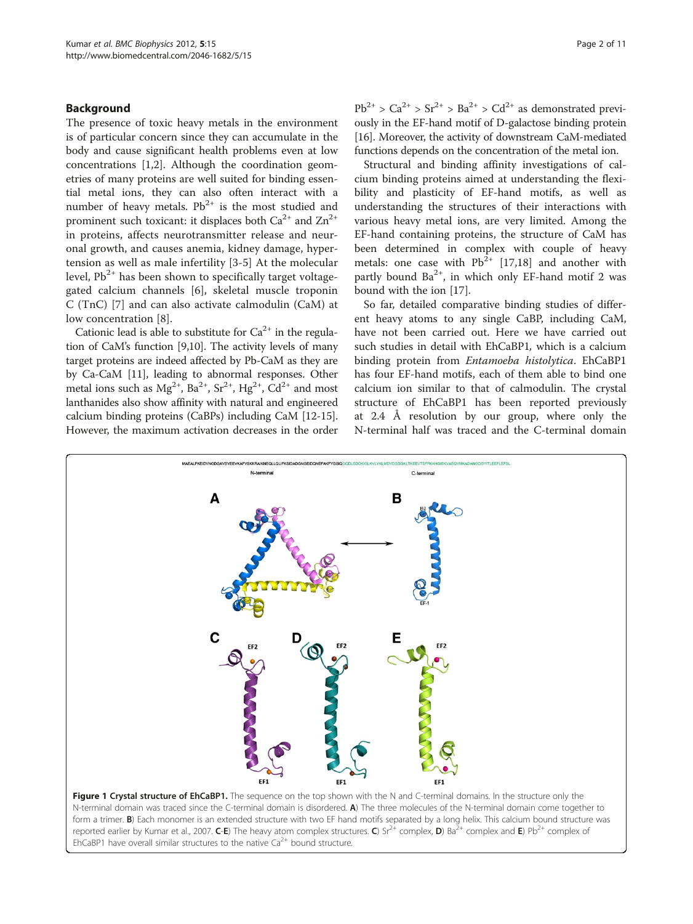#### <span id="page-1-0"></span>Background

The presence of toxic heavy metals in the environment is of particular concern since they can accumulate in the body and cause significant health problems even at low concentrations [[1,2\]](#page-10-0). Although the coordination geometries of many proteins are well suited for binding essential metal ions, they can also often interact with a number of heavy metals.  $Pb^{2+}$  is the most studied and prominent such toxicant: it displaces both  $Ca^{2+}$  and  $Zn^{2+}$ in proteins, affects neurotransmitter release and neuronal growth, and causes anemia, kidney damage, hypertension as well as male infertility [[3](#page-10-0)-[5\]](#page-10-0) At the molecular level, Pb<sup>2+</sup> has been shown to specifically target voltagegated calcium channels [\[6](#page-10-0)], skeletal muscle troponin C (TnC) [\[7](#page-10-0)] and can also activate calmodulin (CaM) at low concentration [[8\]](#page-10-0).

Cationic lead is able to substitute for  $Ca^{2+}$  in the regulation of CaM's function [[9,10](#page-10-0)]. The activity levels of many target proteins are indeed affected by Pb-CaM as they are by Ca-CaM [[11](#page-10-0)], leading to abnormal responses. Other metal ions such as  $Mg^{2+}$ ,  $Ba^{2+}$ ,  $Sr^{2+}$ ,  $Hg^{2+}$ ,  $Cd^{2+}$  and most lanthanides also show affinity with natural and engineered calcium binding proteins (CaBPs) including CaM [[12](#page-10-0)-[15](#page-10-0)]. However, the maximum activation decreases in the order  $Pb^{2+} > Ca^{2+} > Sr^{2+} > Ba^{2+} > Cd^{2+}$  as demonstrated previously in the EF-hand motif of D-galactose binding protein [[16](#page-10-0)]. Moreover, the activity of downstream CaM-mediated functions depends on the concentration of the metal ion.

Structural and binding affinity investigations of calcium binding proteins aimed at understanding the flexibility and plasticity of EF-hand motifs, as well as understanding the structures of their interactions with various heavy metal ions, are very limited. Among the EF-hand containing proteins, the structure of CaM has been determined in complex with couple of heavy metals: one case with  $Pb^{2+}$  [[17,18\]](#page-10-0) and another with partly bound  $Ba^{2+}$ , in which only EF-hand motif 2 was bound with the ion [[17\]](#page-10-0).

So far, detailed comparative binding studies of different heavy atoms to any single CaBP, including CaM, have not been carried out. Here we have carried out such studies in detail with EhCaBP1, which is a calcium binding protein from Entamoeba histolytica. EhCaBP1 has four EF-hand motifs, each of them able to bind one calcium ion similar to that of calmodulin. The crystal structure of EhCaBP1 has been reported previously at 2.4 Å resolution by our group, where only the N-terminal half was traced and the C-terminal domain



N-terminal domain was traced since the C-terminal domain is disordered. A) The three molecules of the N-terminal domain come together to form a trimer. B) Each monomer is an extended structure with two EF hand motifs separated by a long helix. This calcium bound structure was reported earlier by Kumar et al., 2007. C-E) The heavy atom complex structures. C)  $Sr^{2+}$  complex, D) Ba<sup>2+</sup> complex and E) Pb<sup>2+</sup> complex of EhCaBP1 have overall similar structures to the native  $Ca^{2+}$  bound structure.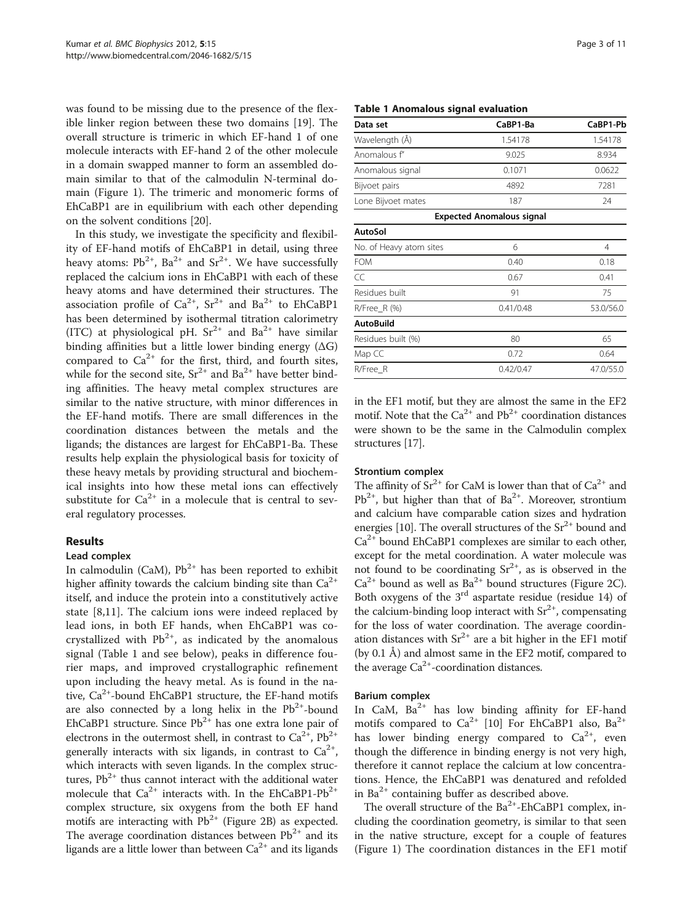<span id="page-2-0"></span>was found to be missing due to the presence of the flexible linker region between these two domains [\[19](#page-10-0)]. The overall structure is trimeric in which EF-hand 1 of one molecule interacts with EF-hand 2 of the other molecule in a domain swapped manner to form an assembled domain similar to that of the calmodulin N-terminal domain (Figure [1](#page-1-0)). The trimeric and monomeric forms of EhCaBP1 are in equilibrium with each other depending on the solvent conditions [[20\]](#page-10-0).

In this study, we investigate the specificity and flexibility of EF-hand motifs of EhCaBP1 in detail, using three heavy atoms:  $Pb^{2+}$ ,  $Ba^{2+}$  and  $Sr^{2+}$ . We have successfully replaced the calcium ions in EhCaBP1 with each of these heavy atoms and have determined their structures. The association profile of  $Ca^{2+}$ ,  $Sr^{2+}$  and  $Ba^{2+}$  to EhCaBP1 has been determined by isothermal titration calorimetry (ITC) at physiological pH.  $Sr^{2+}$  and  $Ba^{2+}$  have similar binding affinities but a little lower binding energy (ΔG) compared to  $Ca^{2+}$  for the first, third, and fourth sites, while for the second site,  $Sr^{2+}$  and  $Ba^{2+}$  have better binding affinities. The heavy metal complex structures are similar to the native structure, with minor differences in the EF-hand motifs. There are small differences in the coordination distances between the metals and the ligands; the distances are largest for EhCaBP1-Ba. These results help explain the physiological basis for toxicity of these heavy metals by providing structural and biochemical insights into how these metal ions can effectively substitute for  $Ca^{2+}$  in a molecule that is central to several regulatory processes.

## Results

#### Lead complex

In calmodulin (CaM),  $Pb^{2+}$  has been reported to exhibit higher affinity towards the calcium binding site than  $Ca^{2+}$ itself, and induce the protein into a constitutively active state [[8,11](#page-10-0)]. The calcium ions were indeed replaced by lead ions, in both EF hands, when EhCaBP1 was cocrystallized with  $Pb^{2+}$ , as indicated by the anomalous signal (Table 1 and see below), peaks in difference fourier maps, and improved crystallographic refinement upon including the heavy metal. As is found in the native,  $Ca^{2+}$ -bound EhCaBP1 structure, the EF-hand motifs are also connected by a long helix in the  $Pb^{2+}$ -bound EhCaBP1 structure. Since  $Pb^{2+}$  has one extra lone pair of electrons in the outermost shell, in contrast to  $Ca^{2+}$ ,  $Pb^{2+}$ generally interacts with six ligands, in contrast to  $Ca^{2+}$ , which interacts with seven ligands. In the complex structures,  $Pb^{2+}$  thus cannot interact with the additional water molecule that  $Ca^{2+}$  interacts with. In the EhCaBP1-Pb<sup>2+</sup> complex structure, six oxygens from the both EF hand motifs are interacting with  $Pb^{2+}$  (Figure [2B](#page-3-0)) as expected. The average coordination distances between  $Pb^{2+}$  and its ligands are a little lower than between  $Ca^{2+}$  and its ligands

#### Table 1 Anomalous signal evaluation

| CaBP1-Ba                         | CaBP1-Pb  |
|----------------------------------|-----------|
| 1.54178                          | 1.54178   |
| 9.025                            | 8.934     |
| 0.1071                           | 0.0622    |
| 4892                             | 7281      |
| 187                              | 24        |
| <b>Expected Anomalous signal</b> |           |
|                                  |           |
| 6                                | 4         |
| 0.40                             | 0.18      |
| 0.67                             | 0.41      |
| 91                               | 75        |
| 0.41/0.48                        | 53.0/56.0 |
|                                  |           |
| 80                               | 65        |
| 0.72                             | 0.64      |
| 0.42/0.47                        | 47.0/55.0 |
|                                  |           |

in the EF1 motif, but they are almost the same in the EF2 motif. Note that the  $Ca^{2+}$  and  $Pb^{2+}$  coordination distances were shown to be the same in the Calmodulin complex structures [\[17\]](#page-10-0).

#### Strontium complex

The affinity of  $Sr^{2+}$  for CaM is lower than that of  $Ca^{2+}$  and  $Pb^{2+}$ , but higher than that of Ba<sup>2+</sup>. Moreover, strontium and calcium have comparable cation sizes and hydration energies [\[10\]](#page-10-0). The overall structures of the  $Sr^{2+}$  bound and  $Ca<sup>2+</sup>$  bound EhCaBP1 complexes are similar to each other, except for the metal coordination. A water molecule was not found to be coordinating  $Sr^{2+}$ , as is observed in the  $Ca^{2+}$  bound as well as  $Ba^{2+}$  bound structures (Figure [2C](#page-3-0)). Both oxygens of the  $3<sup>rd</sup>$  aspartate residue (residue 14) of the calcium-binding loop interact with  $Sr^{2+}$ , compensating for the loss of water coordination. The average coordination distances with  $Sr^{2+}$  are a bit higher in the EF1 motif (by 0.1 Å) and almost same in the EF2 motif, compared to the average  $Ca^{2+}$ -coordination distances.

#### Barium complex

In CaM,  $Ba^{2+}$  has low binding affinity for EF-hand motifs compared to  $Ca^{2+}$  [\[10](#page-10-0)] For EhCaBP1 also,  $Ba^{2+}$ has lower binding energy compared to  $Ca^{2+}$ , even though the difference in binding energy is not very high, therefore it cannot replace the calcium at low concentrations. Hence, the EhCaBP1 was denatured and refolded in  $Ba^{2+}$  containing buffer as described above.

The overall structure of the  $Ba^{2+}$ -EhCaBP1 complex, including the coordination geometry, is similar to that seen in the native structure, except for a couple of features (Figure [1\)](#page-1-0) The coordination distances in the EF1 motif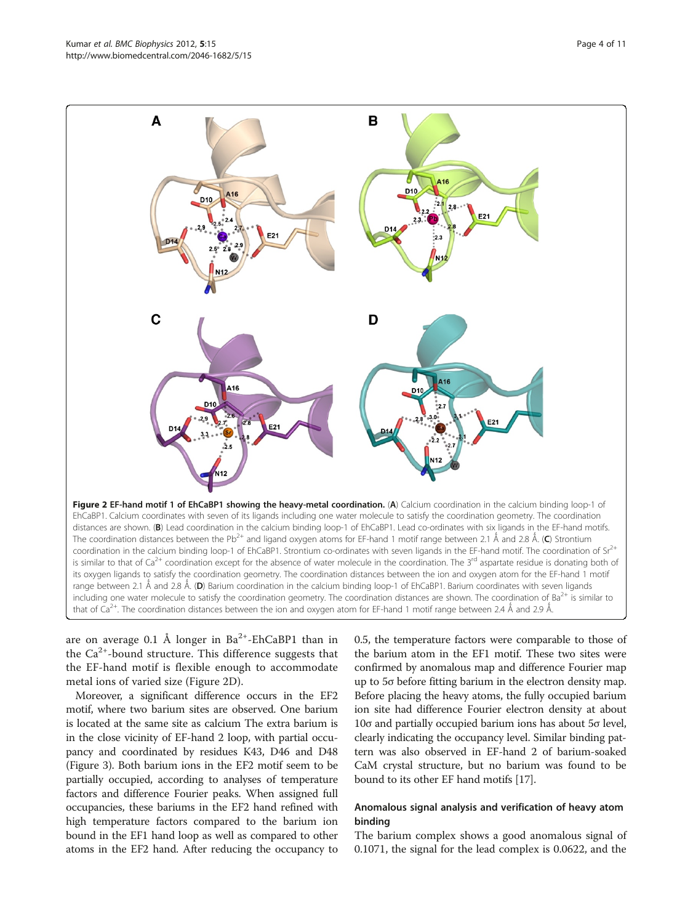<span id="page-3-0"></span>

are on average 0.1 Å longer in  $Ba^{2+}$ -EhCaBP1 than in the  $Ca^{2+}$ -bound structure. This difference suggests that the EF-hand motif is flexible enough to accommodate metal ions of varied size (Figure 2D).

Moreover, a significant difference occurs in the EF2 motif, where two barium sites are observed. One barium is located at the same site as calcium The extra barium is in the close vicinity of EF-hand 2 loop, with partial occupancy and coordinated by residues K43, D46 and D48 (Figure [3](#page-4-0)). Both barium ions in the EF2 motif seem to be partially occupied, according to analyses of temperature factors and difference Fourier peaks. When assigned full occupancies, these bariums in the EF2 hand refined with high temperature factors compared to the barium ion bound in the EF1 hand loop as well as compared to other atoms in the EF2 hand. After reducing the occupancy to 0.5, the temperature factors were comparable to those of the barium atom in the EF1 motif. These two sites were confirmed by anomalous map and difference Fourier map up to 5σ before fitting barium in the electron density map. Before placing the heavy atoms, the fully occupied barium ion site had difference Fourier electron density at about 10σ and partially occupied barium ions has about 5σ level, clearly indicating the occupancy level. Similar binding pattern was also observed in EF-hand 2 of barium-soaked CaM crystal structure, but no barium was found to be bound to its other EF hand motifs [\[17\]](#page-10-0).

## Anomalous signal analysis and verification of heavy atom binding

The barium complex shows a good anomalous signal of 0.1071, the signal for the lead complex is 0.0622, and the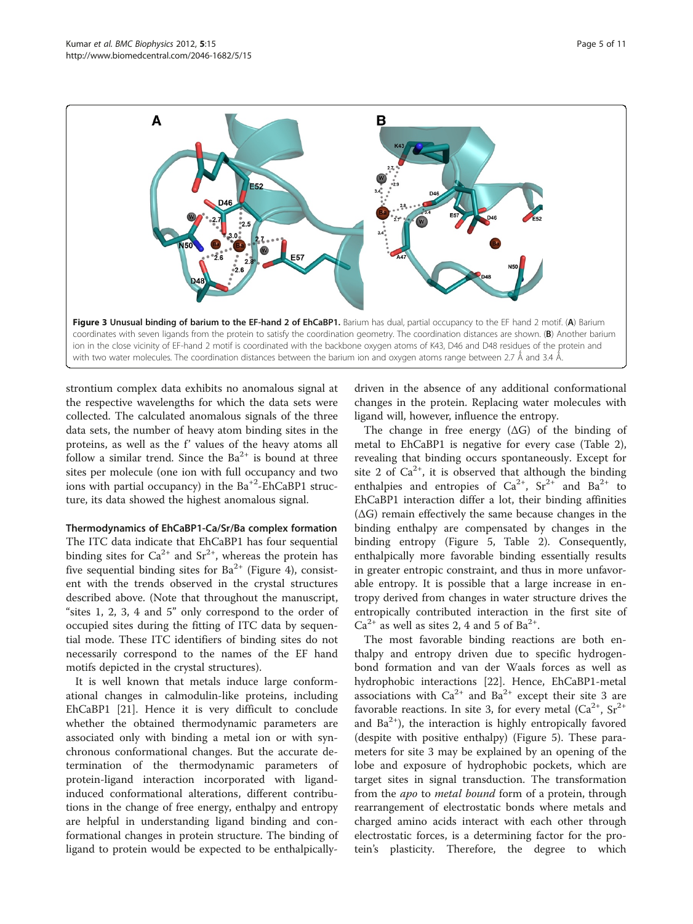<span id="page-4-0"></span>

strontium complex data exhibits no anomalous signal at the respective wavelengths for which the data sets were collected. The calculated anomalous signals of the three data sets, the number of heavy atom binding sites in the proteins, as well as the f' values of the heavy atoms all follow a similar trend. Since the  $Ba^{2+}$  is bound at three sites per molecule (one ion with full occupancy and two ions with partial occupancy) in the  $Ba^{+2}$ -EhCaBP1 structure, its data showed the highest anomalous signal.

#### Thermodynamics of EhCaBP1-Ca/Sr/Ba complex formation

The ITC data indicate that EhCaBP1 has four sequential binding sites for  $Ca^{2+}$  and  $Sr^{2+}$ , whereas the protein has five sequential binding sites for  $Ba^{2+}$  (Figure [4\)](#page-5-0), consistent with the trends observed in the crystal structures described above. (Note that throughout the manuscript, "sites 1, 2, 3, 4 and 5" only correspond to the order of occupied sites during the fitting of ITC data by sequential mode. These ITC identifiers of binding sites do not necessarily correspond to the names of the EF hand motifs depicted in the crystal structures).

It is well known that metals induce large conformational changes in calmodulin-like proteins, including EhCaBP1 [[21](#page-10-0)]. Hence it is very difficult to conclude whether the obtained thermodynamic parameters are associated only with binding a metal ion or with synchronous conformational changes. But the accurate determination of the thermodynamic parameters of protein-ligand interaction incorporated with ligandinduced conformational alterations, different contributions in the change of free energy, enthalpy and entropy are helpful in understanding ligand binding and conformational changes in protein structure. The binding of ligand to protein would be expected to be enthalpically-

driven in the absence of any additional conformational changes in the protein. Replacing water molecules with ligand will, however, influence the entropy.

The change in free energy  $( \Delta G )$  of the binding of metal to EhCaBP1 is negative for every case (Table [2](#page-5-0)), revealing that binding occurs spontaneously. Except for site 2 of  $Ca^{2+}$ , it is observed that although the binding enthalpies and entropies of  $Ca^{2+}$ ,  $Sr^{2+}$  and  $Ba^{2+}$  to EhCaBP1 interaction differ a lot, their binding affinities  $(\Delta G)$  remain effectively the same because changes in the binding enthalpy are compensated by changes in the binding entropy (Figure [5,](#page-6-0) Table [2\)](#page-5-0). Consequently, enthalpically more favorable binding essentially results in greater entropic constraint, and thus in more unfavorable entropy. It is possible that a large increase in entropy derived from changes in water structure drives the entropically contributed interaction in the first site of  $Ca^{2+}$  as well as sites 2, 4 and 5 of Ba<sup>2+</sup>.

The most favorable binding reactions are both enthalpy and entropy driven due to specific hydrogenbond formation and van der Waals forces as well as hydrophobic interactions [\[22\]](#page-10-0). Hence, EhCaBP1-metal associations with  $Ca^{2+}$  and  $Ba^{2+}$  except their site 3 are favorable reactions. In site 3, for every metal  $(Ca^{2+}, Sr^{2+})$ and  $Ba^{2+}$ ), the interaction is highly entropically favored (despite with positive enthalpy) (Figure [5](#page-6-0)). These parameters for site 3 may be explained by an opening of the lobe and exposure of hydrophobic pockets, which are target sites in signal transduction. The transformation from the *apo* to *metal bound* form of a protein, through rearrangement of electrostatic bonds where metals and charged amino acids interact with each other through electrostatic forces, is a determining factor for the protein's plasticity. Therefore, the degree to which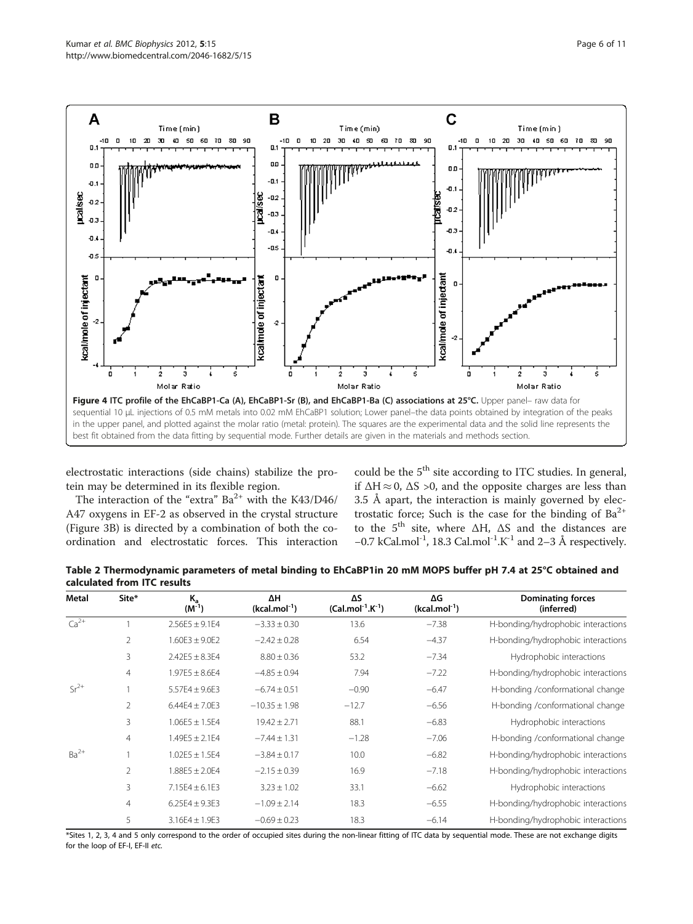<span id="page-5-0"></span>

electrostatic interactions (side chains) stabilize the protein may be determined in its flexible region.

The interaction of the "extra"  $Ba^{2+}$  with the K43/D46/ A47 oxygens in EF-2 as observed in the crystal structure (Figure [3B\)](#page-4-0) is directed by a combination of both the coordination and electrostatic forces. This interaction

could be the 5<sup>th</sup> site according to ITC studies. In general, if  $ΔH ≈ 0$ ,  $ΔS > 0$ , and the opposite charges are less than 3.5 Å apart, the interaction is mainly governed by electrostatic force; Such is the case for the binding of  $Ba^{2+}$ to the  $5<sup>th</sup>$  site, where  $\Delta H$ ,  $\Delta S$  and the distances are  $-0.7$  kCal.mol<sup>-1</sup>, 18.3 Cal.mol<sup>-1</sup>.K<sup>-1</sup> and 2–3 Å respectively.

| Table 2 Thermodynamic parameters of metal binding to EhCaBP1in 20 mM MOPS buffer pH 7.4 at 25°C obtained and |  |  |
|--------------------------------------------------------------------------------------------------------------|--|--|
| calculated from ITC results                                                                                  |  |  |

| Metal          | Site*          | $K_{a}$<br>$(M^{-1})$ | ΔΗ<br>$(kcal.mol^{-1})$ | ΔS<br>$(Cal.mol^{-1}.K^{-1})$ | ΔG<br>$(kcal.mol^{-1})$ | <b>Dominating forces</b><br>(inferred) |
|----------------|----------------|-----------------------|-------------------------|-------------------------------|-------------------------|----------------------------------------|
| $Ca2+$         |                | $2.56F5 + 9.1F4$      | $-3.33 \pm 0.30$        | 13.6                          | $-7.38$                 | H-bonding/hydrophobic interactions     |
|                | 2              | $1.60E3 \pm 9.0E2$    | $-2.42 \pm 0.28$        | 6.54                          | $-4.37$                 | H-bonding/hydrophobic interactions     |
|                | 3              | $2.42E5 \pm 8.3E4$    | $8.80 \pm 0.36$         | 53.2                          | $-7.34$                 | Hydrophobic interactions               |
|                | $\overline{4}$ | $1.97E5 \pm 8.6E4$    | $-4.85 \pm 0.94$        | 7.94                          | $-7.22$                 | H-bonding/hydrophobic interactions     |
| $\zeta r^{2+}$ |                | $5.57E4 \pm 9.6E3$    | $-6.74 \pm 0.51$        | $-0.90$                       | $-6.47$                 | H-bonding /conformational change       |
|                | 2              | $6.44E4 \pm 7.0E3$    | $-10.35 \pm 1.98$       | $-12.7$                       | $-6.56$                 | H-bonding /conformational change       |
|                | 3              | $1.06E5 \pm 1.5E4$    | $19.42 \pm 2.71$        | 88.1                          | $-6.83$                 | Hydrophobic interactions               |
|                | $\overline{4}$ | $1.49E5 \pm 2.1E4$    | $-7.44 \pm 1.31$        | $-1.28$                       | $-7.06$                 | H-bonding /conformational change       |
| $Ba2+$         |                | $1.02E5 \pm 1.5E4$    | $-3.84 \pm 0.17$        | 10.0                          | $-6.82$                 | H-bonding/hydrophobic interactions     |
|                | $\overline{2}$ | $1.88E5 \pm 2.0E4$    | $-2.15 \pm 0.39$        | 16.9                          | $-7.18$                 | H-bonding/hydrophobic interactions     |
|                | 3              | $7.15E4 \pm 6.1E3$    | $3.23 \pm 1.02$         | 33.1                          | $-6.62$                 | Hydrophobic interactions               |
|                | $\overline{4}$ | $6.25E4 \pm 9.3E3$    | $-1.09 \pm 2.14$        | 18.3                          | $-6.55$                 | H-bonding/hydrophobic interactions     |
|                | 5              | $3.16E4 \pm 1.9E3$    | $-0.69 \pm 0.23$        | 18.3                          | $-6.14$                 | H-bonding/hydrophobic interactions     |

\*Sites 1, 2, 3, 4 and 5 only correspond to the order of occupied sites during the non-linear fitting of ITC data by sequential mode. These are not exchange digits for the loop of EF-I, EF-II etc.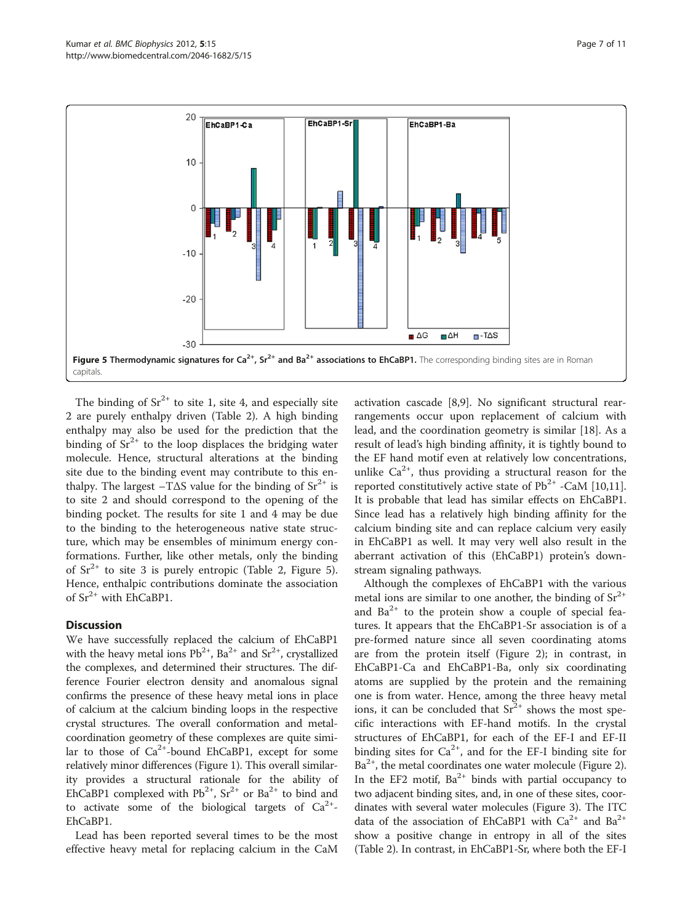<span id="page-6-0"></span>![](_page_6_Figure_2.jpeg)

The binding of  $Sr^{2+}$  to site 1, site 4, and especially site 2 are purely enthalpy driven (Table [2](#page-5-0)). A high binding enthalpy may also be used for the prediction that the binding of  $Sr^{2+}$  to the loop displaces the bridging water molecule. Hence, structural alterations at the binding site due to the binding event may contribute to this enthalpy. The largest  $-T\Delta S$  value for the binding of  $Sr^{2+}$  is to site 2 and should correspond to the opening of the binding pocket. The results for site 1 and 4 may be due to the binding to the heterogeneous native state structure, which may be ensembles of minimum energy conformations. Further, like other metals, only the binding of  $Sr^{2+}$  to site 3 is purely entropic (Table [2,](#page-5-0) Figure 5). Hence, enthalpic contributions dominate the association of Sr<sup>2+</sup> with EhCaBP1.

## **Discussion**

We have successfully replaced the calcium of EhCaBP1 with the heavy metal ions  $Pb^{2+}$ ,  $Ba^{2+}$  and  $Sr^{2+}$ , crystallized the complexes, and determined their structures. The difference Fourier electron density and anomalous signal confirms the presence of these heavy metal ions in place of calcium at the calcium binding loops in the respective crystal structures. The overall conformation and metalcoordination geometry of these complexes are quite similar to those of  $Ca^{2+}$ -bound EhCaBP1, except for some relatively minor differences (Figure [1](#page-1-0)). This overall similarity provides a structural rationale for the ability of EhCaBP1 complexed with  $Pb^{2+}$ ,  $Sr^{2+}$  or  $Ba^{2+}$  to bind and to activate some of the biological targets of  $Ca^{2+}$ -EhCaBP1.

Lead has been reported several times to be the most effective heavy metal for replacing calcium in the CaM

activation cascade [\[8,9](#page-10-0)]. No significant structural rearrangements occur upon replacement of calcium with lead, and the coordination geometry is similar [[18](#page-10-0)]. As a result of lead's high binding affinity, it is tightly bound to the EF hand motif even at relatively low concentrations, unlike  $Ca^{2+}$ , thus providing a structural reason for the reported constitutively active state of  $Pb^{2+}$  -CaM [\[10,11](#page-10-0)]. It is probable that lead has similar effects on EhCaBP1. Since lead has a relatively high binding affinity for the calcium binding site and can replace calcium very easily in EhCaBP1 as well. It may very well also result in the aberrant activation of this (EhCaBP1) protein's downstream signaling pathways.

Although the complexes of EhCaBP1 with the various metal ions are similar to one another, the binding of  $Sr^{2+}$ and  $Ba^{2+}$  to the protein show a couple of special features. It appears that the EhCaBP1-Sr association is of a pre-formed nature since all seven coordinating atoms are from the protein itself (Figure [2](#page-3-0)); in contrast, in EhCaBP1-Ca and EhCaBP1-Ba, only six coordinating atoms are supplied by the protein and the remaining one is from water. Hence, among the three heavy metal ions, it can be concluded that  $Sr^{2+}$  shows the most specific interactions with EF-hand motifs. In the crystal structures of EhCaBP1, for each of the EF-I and EF-II binding sites for  $Ca^{2+}$ , and for the EF-I binding site for  $Ba<sup>2+</sup>$ , the metal coordinates one water molecule (Figure [2](#page-3-0)). In the EF2 motif,  $Ba^{2+}$  binds with partial occupancy to two adjacent binding sites, and, in one of these sites, coordinates with several water molecules (Figure [3](#page-4-0)). The ITC data of the association of EhCaBP1 with  $Ca^{2+}$  and  $Ba^{2+}$ show a positive change in entropy in all of the sites (Table [2](#page-5-0)). In contrast, in EhCaBP1-Sr, where both the EF-I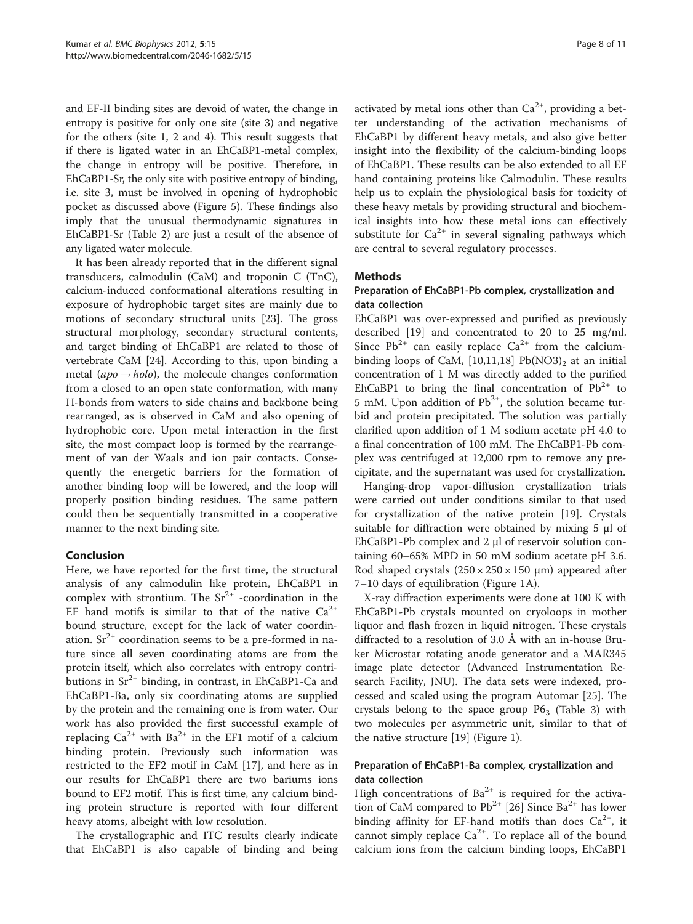and EF-II binding sites are devoid of water, the change in entropy is positive for only one site (site 3) and negative for the others (site 1, 2 and 4). This result suggests that if there is ligated water in an EhCaBP1-metal complex, the change in entropy will be positive. Therefore, in EhCaBP1-Sr, the only site with positive entropy of binding, i.e. site 3, must be involved in opening of hydrophobic pocket as discussed above (Figure [5](#page-6-0)). These findings also imply that the unusual thermodynamic signatures in EhCaBP1-Sr (Table [2](#page-5-0)) are just a result of the absence of any ligated water molecule.

It has been already reported that in the different signal transducers, calmodulin (CaM) and troponin C (TnC), calcium-induced conformational alterations resulting in exposure of hydrophobic target sites are mainly due to motions of secondary structural units [[23\]](#page-10-0). The gross structural morphology, secondary structural contents, and target binding of EhCaBP1 are related to those of vertebrate CaM [\[24](#page-10-0)]. According to this, upon binding a metal ( $apo \rightarrow holo$ ), the molecule changes conformation from a closed to an open state conformation, with many H-bonds from waters to side chains and backbone being rearranged, as is observed in CaM and also opening of hydrophobic core. Upon metal interaction in the first site, the most compact loop is formed by the rearrangement of van der Waals and ion pair contacts. Consequently the energetic barriers for the formation of another binding loop will be lowered, and the loop will properly position binding residues. The same pattern could then be sequentially transmitted in a cooperative manner to the next binding site.

## Conclusion

Here, we have reported for the first time, the structural analysis of any calmodulin like protein, EhCaBP1 in complex with strontium. The  $Sr^{2+}$  -coordination in the EF hand motifs is similar to that of the native  $Ca^{2+}$ bound structure, except for the lack of water coordination.  $Sr^{2+}$  coordination seems to be a pre-formed in nature since all seven coordinating atoms are from the protein itself, which also correlates with entropy contributions in  $Sr^{2+}$  binding, in contrast, in EhCaBP1-Ca and EhCaBP1-Ba, only six coordinating atoms are supplied by the protein and the remaining one is from water. Our work has also provided the first successful example of replacing  $Ca^{2+}$  with  $Ba^{2+}$  in the EF1 motif of a calcium binding protein. Previously such information was restricted to the EF2 motif in CaM [\[17](#page-10-0)], and here as in our results for EhCaBP1 there are two bariums ions bound to EF2 motif. This is first time, any calcium binding protein structure is reported with four different heavy atoms, albeight with low resolution.

The crystallographic and ITC results clearly indicate that EhCaBP1 is also capable of binding and being

activated by metal ions other than  $Ca^{2+}$ , providing a better understanding of the activation mechanisms of EhCaBP1 by different heavy metals, and also give better insight into the flexibility of the calcium-binding loops of EhCaBP1. These results can be also extended to all EF hand containing proteins like Calmodulin. These results help us to explain the physiological basis for toxicity of these heavy metals by providing structural and biochemical insights into how these metal ions can effectively substitute for  $Ca^{2+}$  in several signaling pathways which are central to several regulatory processes.

## Methods

## Preparation of EhCaBP1-Pb complex, crystallization and data collection

EhCaBP1 was over-expressed and purified as previously described [\[19](#page-10-0)] and concentrated to 20 to 25 mg/ml. Since  $Pb^{2+}$  can easily replace  $Ca^{2+}$  from the calciumbinding loops of CaM,  $[10,11,18]$  $[10,11,18]$  $[10,11,18]$  $[10,11,18]$  $[10,11,18]$  $[10,11,18]$  $[10,11,18]$  Pb(NO3)<sub>2</sub> at an initial concentration of 1 M was directly added to the purified EhCaBP1 to bring the final concentration of  $Pb^{2+}$  to 5 mM. Upon addition of  $Pb^{2+}$ , the solution became turbid and protein precipitated. The solution was partially clarified upon addition of 1 M sodium acetate pH 4.0 to a final concentration of 100 mM. The EhCaBP1-Pb complex was centrifuged at 12,000 rpm to remove any precipitate, and the supernatant was used for crystallization.

Hanging-drop vapor-diffusion crystallization trials were carried out under conditions similar to that used for crystallization of the native protein [\[19](#page-10-0)]. Crystals suitable for diffraction were obtained by mixing 5 μl of EhCaBP1-Pb complex and 2 μl of reservoir solution containing 60–65% MPD in 50 mM sodium acetate pH 3.6. Rod shaped crystals  $(250 \times 250 \times 150 \mu m)$  appeared after 7–10 days of equilibration (Figure [1A](#page-1-0)).

X-ray diffraction experiments were done at 100 K with EhCaBP1-Pb crystals mounted on cryoloops in mother liquor and flash frozen in liquid nitrogen. These crystals diffracted to a resolution of 3.0 Å with an in-house Bruker Microstar rotating anode generator and a MAR345 image plate detector (Advanced Instrumentation Research Facility, JNU). The data sets were indexed, processed and scaled using the program Automar [[25\]](#page-10-0). The crystals belong to the space group  $P6<sub>3</sub>$  (Table [3\)](#page-8-0) with two molecules per asymmetric unit, similar to that of the native structure [[19\]](#page-10-0) (Figure [1\)](#page-1-0).

## Preparation of EhCaBP1-Ba complex, crystallization and data collection

High concentrations of  $Ba^{2+}$  is required for the activation of CaM compared to  $Pb^{2+}$  [\[26](#page-10-0)] Since Ba<sup>2+</sup> has lower binding affinity for EF-hand motifs than does  $Ca^{2+}$ , it cannot simply replace  $Ca^{2+}$ . To replace all of the bound calcium ions from the calcium binding loops, EhCaBP1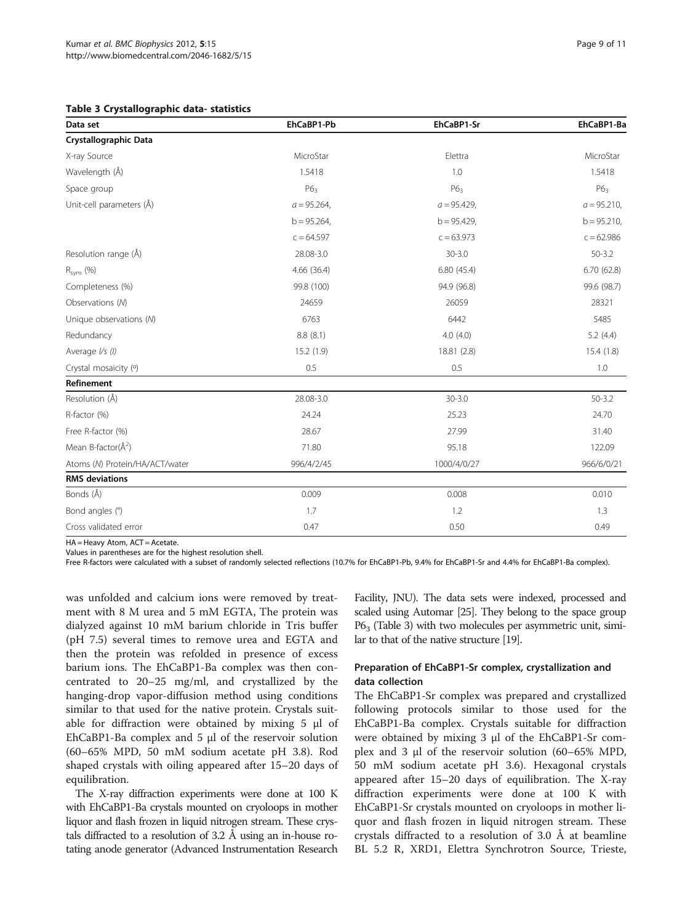<span id="page-8-0"></span>Table 3 Crystallographic data- statistics

| Data set                       | EhCaBP1-Pb      | EhCaBP1-Sr      | EhCaBP1-Ba     |
|--------------------------------|-----------------|-----------------|----------------|
| Crystallographic Data          |                 |                 |                |
| X-ray Source                   | MicroStar       | Elettra         | MicroStar      |
| Wavelength (Å)                 | 1.5418          | 1.0             | 1.5418         |
| Space group                    | P6 <sub>3</sub> | P6 <sub>3</sub> | P63            |
| Unit-cell parameters (Å)       | $a = 95.264$ ,  | $a = 95.429$ ,  | $a = 95.210$ , |
|                                | $b = 95.264$ ,  | $b = 95.429$ ,  | $b = 95.210$ , |
|                                | $c = 64.597$    | $c = 63.973$    | $c = 62.986$   |
| Resolution range (Å)           | 28.08-3.0       | $30 - 3.0$      | $50 - 3.2$     |
| $R_{sym}$ (%)                  | 4.66 (36.4)     | 6.80(45.4)      | 6.70(62.8)     |
| Completeness (%)               | 99.8 (100)      | 94.9 (96.8)     | 99.6 (98.7)    |
| Observations (N)               | 24659           | 26059           | 28321          |
| Unique observations (N)        | 6763            | 6442            | 5485           |
| Redundancy                     | 8.8(8.1)        | 4.0(4.0)        | 5.2(4.4)       |
| Average I/s (I)                | 15.2(1.9)       | 18.81 (2.8)     | 15.4(1.8)      |
| Crystal mosaicity (°)          | 0.5             | 0.5             | 1.0            |
| Refinement                     |                 |                 |                |
| Resolution (Å)                 | 28.08-3.0       | $30 - 3.0$      | $50 - 3.2$     |
| R-factor (%)                   | 24.24           | 25.23           | 24.70          |
| Free R-factor (%)              | 28.67           | 27.99           | 31.40          |
| Mean B-factor( $\AA^2$ )       | 71.80           | 95.18           | 122.09         |
| Atoms (N) Protein/HA/ACT/water | 996/4/2/45      | 1000/4/0/27     | 966/6/0/21     |
| <b>RMS</b> deviations          |                 |                 |                |
| Bonds (Å)                      | 0.009           | 0.008           | 0.010          |
| Bond angles (°)                | 1.7             | 1.2             | 1.3            |
| Cross validated error          | 0.47            | 0.50            | 0.49           |
|                                |                 |                 |                |

HA = Heavy Atom, ACT = Acetate.

Values in parentheses are for the highest resolution shell.

Free R-factors were calculated with a subset of randomly selected reflections (10.7% for EhCaBP1-Pb, 9.4% for EhCaBP1-Sr and 4.4% for EhCaBP1-Ba complex).

was unfolded and calcium ions were removed by treatment with 8 M urea and 5 mM EGTA, The protein was dialyzed against 10 mM barium chloride in Tris buffer (pH 7.5) several times to remove urea and EGTA and then the protein was refolded in presence of excess barium ions. The EhCaBP1-Ba complex was then concentrated to 20–25 mg/ml, and crystallized by the hanging-drop vapor-diffusion method using conditions similar to that used for the native protein. Crystals suitable for diffraction were obtained by mixing 5 μl of EhCaBP1-Ba complex and 5 μl of the reservoir solution (60–65% MPD, 50 mM sodium acetate pH 3.8). Rod shaped crystals with oiling appeared after 15–20 days of equilibration.

The X-ray diffraction experiments were done at 100 K with EhCaBP1-Ba crystals mounted on cryoloops in mother liquor and flash frozen in liquid nitrogen stream. These crystals diffracted to a resolution of 3.2 Å using an in-house rotating anode generator (Advanced Instrumentation Research Facility, JNU). The data sets were indexed, processed and scaled using Automar [\[25](#page-10-0)]. They belong to the space group  $P6<sub>3</sub>$  (Table 3) with two molecules per asymmetric unit, similar to that of the native structure [\[19](#page-10-0)].

## Preparation of EhCaBP1-Sr complex, crystallization and data collection

The EhCaBP1-Sr complex was prepared and crystallized following protocols similar to those used for the EhCaBP1-Ba complex. Crystals suitable for diffraction were obtained by mixing 3 μl of the EhCaBP1-Sr complex and 3 μl of the reservoir solution (60–65% MPD, 50 mM sodium acetate pH 3.6). Hexagonal crystals appeared after 15–20 days of equilibration. The X-ray diffraction experiments were done at 100 K with EhCaBP1-Sr crystals mounted on cryoloops in mother liquor and flash frozen in liquid nitrogen stream. These crystals diffracted to a resolution of 3.0 Å at beamline BL 5.2 R, XRD1, Elettra Synchrotron Source, Trieste,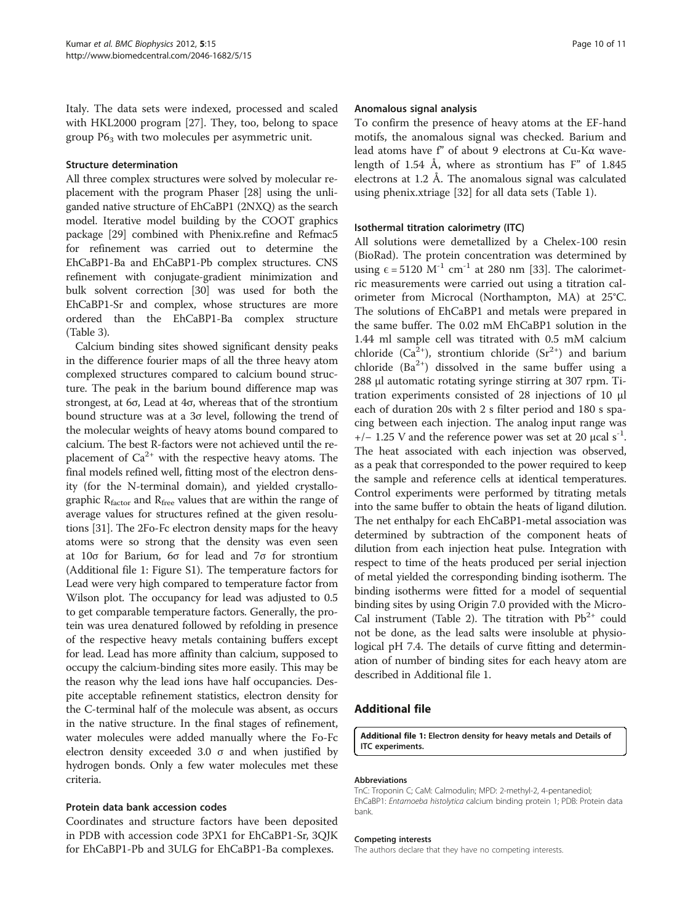Italy. The data sets were indexed, processed and scaled with HKL2000 program [\[27](#page-10-0)]. They, too, belong to space group P63 with two molecules per asymmetric unit.

#### Structure determination

All three complex structures were solved by molecular replacement with the program Phaser [[28](#page-10-0)] using the unliganded native structure of EhCaBP1 (2NXQ) as the search model. Iterative model building by the COOT graphics package [\[29\]](#page-10-0) combined with Phenix.refine and Refmac5 for refinement was carried out to determine the EhCaBP1-Ba and EhCaBP1-Pb complex structures. CNS refinement with conjugate-gradient minimization and bulk solvent correction [[30](#page-10-0)] was used for both the EhCaBP1-Sr and complex, whose structures are more ordered than the EhCaBP1-Ba complex structure (Table [3](#page-8-0)).

Calcium binding sites showed significant density peaks in the difference fourier maps of all the three heavy atom complexed structures compared to calcium bound structure. The peak in the barium bound difference map was strongest, at 6σ, Lead at 4σ, whereas that of the strontium bound structure was at a 3σ level, following the trend of the molecular weights of heavy atoms bound compared to calcium. The best R-factors were not achieved until the replacement of  $Ca^{2+}$  with the respective heavy atoms. The final models refined well, fitting most of the electron density (for the N-terminal domain), and yielded crystallographic  $R_{factor}$  and  $R_{free}$  values that are within the range of average values for structures refined at the given resolutions [\[31\]](#page-10-0). The 2Fo-Fc electron density maps for the heavy atoms were so strong that the density was even seen at 10σ for Barium, 6σ for lead and 7σ for strontium (Additional file 1: Figure S1). The temperature factors for Lead were very high compared to temperature factor from Wilson plot. The occupancy for lead was adjusted to 0.5 to get comparable temperature factors. Generally, the protein was urea denatured followed by refolding in presence of the respective heavy metals containing buffers except for lead. Lead has more affinity than calcium, supposed to occupy the calcium-binding sites more easily. This may be the reason why the lead ions have half occupancies. Despite acceptable refinement statistics, electron density for the C-terminal half of the molecule was absent, as occurs in the native structure. In the final stages of refinement, water molecules were added manually where the Fo-Fc electron density exceeded 3.0  $σ$  and when justified by hydrogen bonds. Only a few water molecules met these criteria.

#### Protein data bank accession codes

Coordinates and structure factors have been deposited in PDB with accession code 3PX1 for EhCaBP1-Sr, 3QJK for EhCaBP1-Pb and 3ULG for EhCaBP1-Ba complexes.

#### Anomalous signal analysis

To confirm the presence of heavy atoms at the EF-hand motifs, the anomalous signal was checked. Barium and lead atoms have f" of about 9 electrons at Cu-Kα wavelength of 1.54 Å, where as strontium has F" of 1.845 electrons at 1.2 Å. The anomalous signal was calculated using phenix.xtriage [\[32\]](#page-10-0) for all data sets (Table [1\)](#page-2-0).

## Isothermal titration calorimetry (ITC)

All solutions were demetallized by a Chelex-100 resin (BioRad). The protein concentration was determined by using  $\epsilon$  = 5120 M<sup>-1</sup> cm<sup>-1</sup> at 280 nm [\[33\]](#page-10-0). The calorimetric measurements were carried out using a titration calorimeter from Microcal (Northampton, MA) at 25°C. The solutions of EhCaBP1 and metals were prepared in the same buffer. The 0.02 mM EhCaBP1 solution in the 1.44 ml sample cell was titrated with 0.5 mM calcium chloride (Ca<sup>2+</sup>), strontium chloride (Sr<sup>2+</sup>) and barium chloride  $(Ba^{2+})$  dissolved in the same buffer using a 288 μl automatic rotating syringe stirring at 307 rpm. Titration experiments consisted of 28 injections of 10 μl each of duration 20s with 2 s filter period and 180 s spacing between each injection. The analog input range was  $+/- 1.25$  V and the reference power was set at 20  $\mu$ cal s<sup>-1</sup>. The heat associated with each injection was observed, as a peak that corresponded to the power required to keep the sample and reference cells at identical temperatures. Control experiments were performed by titrating metals into the same buffer to obtain the heats of ligand dilution. The net enthalpy for each EhCaBP1-metal association was determined by subtraction of the component heats of dilution from each injection heat pulse. Integration with respect to time of the heats produced per serial injection of metal yielded the corresponding binding isotherm. The binding isotherms were fitted for a model of sequential binding sites by using Origin 7.0 provided with the Micro-Cal instrument (Table [2](#page-5-0)). The titration with  $Pb^{2+}$  could not be done, as the lead salts were insoluble at physiological pH 7.4. The details of curve fitting and determination of number of binding sites for each heavy atom are described in Additional file 1.

## Additional file

[Additional file 1:](http://www.biomedcentral.com/content/supplementary/2046-1682-5-15-S1.docx) Electron density for heavy metals and Details of ITC experiments.

#### Abbreviations

TnC: Troponin C; CaM: Calmodulin; MPD: 2-methyl-2, 4-pentanediol; EhCaBP1: Entamoeba histolytica calcium binding protein 1; PDB: Protein data bank.

#### Competing interests

The authors declare that they have no competing interests.